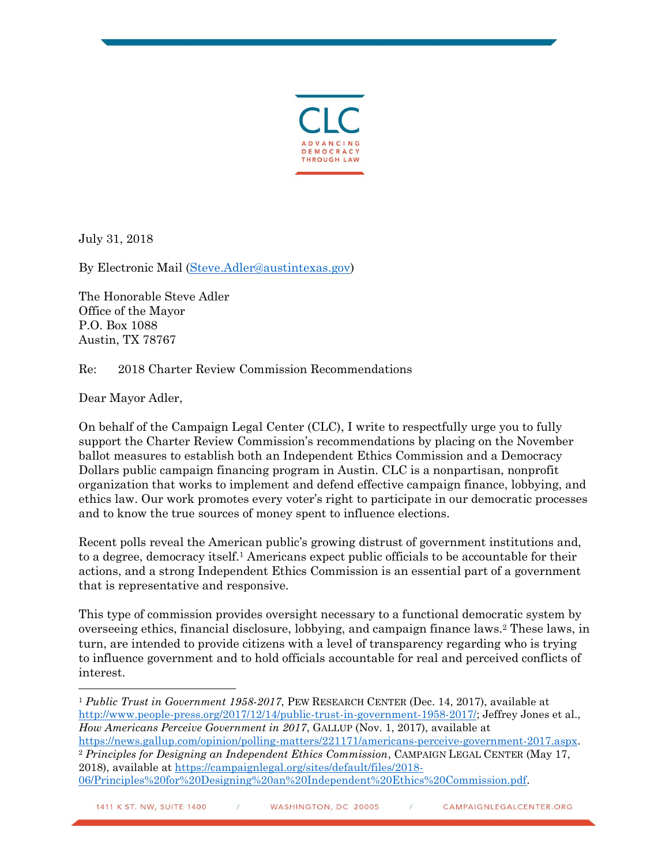

July 31, 2018

By Electronic Mail [\(Steve.Adler@austintexas.gov\)](mailto:Steve.Adler@austintexas.gov)

The Honorable Steve Adler Office of the Mayor P.O. Box 1088 Austin, TX 78767

Re: 2018 Charter Review Commission Recommendations

Dear Mayor Adler,

On behalf of the Campaign Legal Center (CLC), I write to respectfully urge you to fully support the Charter Review Commission's recommendations by placing on the November ballot measures to establish both an Independent Ethics Commission and a Democracy Dollars public campaign financing program in Austin. CLC is a nonpartisan, nonprofit organization that works to implement and defend effective campaign finance, lobbying, and ethics law. Our work promotes every voter's right to participate in our democratic processes and to know the true sources of money spent to influence elections.

Recent polls reveal the American public's growing distrust of government institutions and, to a degree, democracy itself.<sup>1</sup> Americans expect public officials to be accountable for their actions, and a strong Independent Ethics Commission is an essential part of a government that is representative and responsive.

This type of commission provides oversight necessary to a functional democratic system by overseeing ethics, financial disclosure, lobbying, and campaign finance laws.<sup>2</sup> These laws, in turn, are intended to provide citizens with a level of transparency regarding who is trying to influence government and to hold officials accountable for real and perceived conflicts of interest.

 $\overline{a}$ <sup>1</sup> *Public Trust in Government 1958-2017*, PEW RESEARCH CENTER (Dec. 14, 2017), available at [http://www.people-press.org/2017/12/14/public-trust-in-government-1958-2017/;](http://www.people-press.org/2017/12/14/public-trust-in-government-1958-2017/) Jeffrey Jones et al., *How Americans Perceive Government in 2017*, GALLUP (Nov. 1, 2017), available at

[https://news.gallup.com/opinion/polling-matters/221171/americans-perceive-government-2017.aspx.](https://news.gallup.com/opinion/polling-matters/221171/americans-perceive-government-2017.aspx) <sup>2</sup> *Principles for Designing an Independent Ethics Commission*, CAMPAIGN LEGAL CENTER (May 17, 2018), available at [https://campaignlegal.org/sites/default/files/2018-](https://campaignlegal.org/sites/default/files/2018-06/Principles%20for%20Designing%20an%20Independent%20Ethics%20Commission.pdf) [06/Principles%20for%20Designing%20an%20Independent%20Ethics%20Commission.pdf](https://campaignlegal.org/sites/default/files/2018-06/Principles%20for%20Designing%20an%20Independent%20Ethics%20Commission.pdf)*.*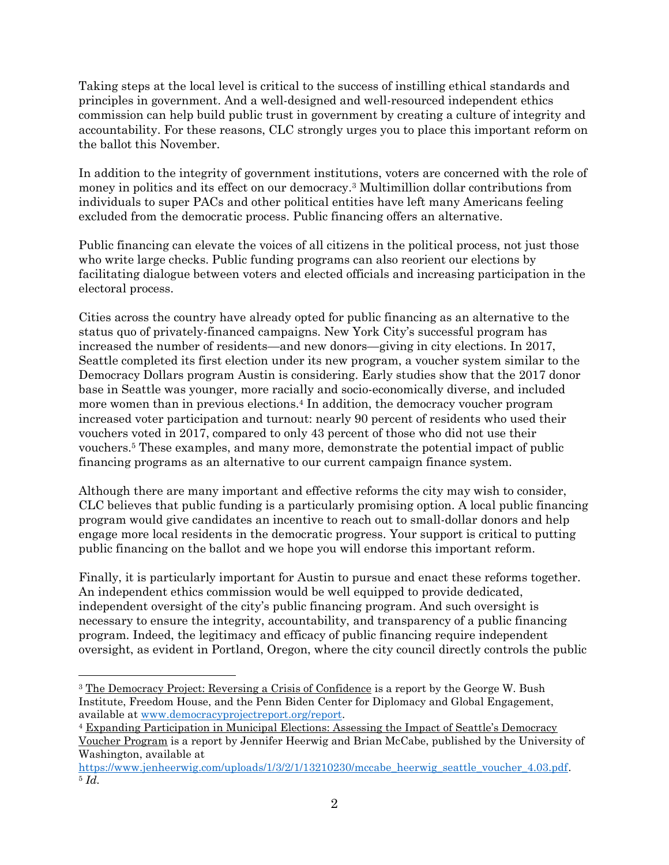Taking steps at the local level is critical to the success of instilling ethical standards and principles in government. And a well-designed and well-resourced independent ethics commission can help build public trust in government by creating a culture of integrity and accountability. For these reasons, CLC strongly urges you to place this important reform on the ballot this November.

In addition to the integrity of government institutions, voters are concerned with the role of money in politics and its effect on our democracy. <sup>3</sup> Multimillion dollar contributions from individuals to super PACs and other political entities have left many Americans feeling excluded from the democratic process. Public financing offers an alternative.

Public financing can elevate the voices of all citizens in the political process, not just those who write large checks. Public funding programs can also reorient our elections by facilitating dialogue between voters and elected officials and increasing participation in the electoral process.

Cities across the country have already opted for public financing as an alternative to the status quo of privately-financed campaigns. New York City's successful program has increased the number of residents—and new donors—giving in city elections. In 2017, Seattle completed its first election under its new program, a voucher system similar to the Democracy Dollars program Austin is considering. Early studies show that the 2017 donor base in Seattle was younger, more racially and socio-economically diverse, and included more women than in previous elections.<sup>4</sup> In addition, the democracy voucher program increased voter participation and turnout: nearly 90 percent of residents who used their vouchers voted in 2017, compared to only 43 percent of those who did not use their vouchers.<sup>5</sup> These examples, and many more, demonstrate the potential impact of public financing programs as an alternative to our current campaign finance system.

Although there are many important and effective reforms the city may wish to consider, CLC believes that public funding is a particularly promising option. A local public financing program would give candidates an incentive to reach out to small-dollar donors and help engage more local residents in the democratic progress. Your support is critical to putting public financing on the ballot and we hope you will endorse this important reform.

Finally, it is particularly important for Austin to pursue and enact these reforms together. An independent ethics commission would be well equipped to provide dedicated, independent oversight of the city's public financing program. And such oversight is necessary to ensure the integrity, accountability, and transparency of a public financing program. Indeed, the legitimacy and efficacy of public financing require independent oversight, as evident in Portland, Oregon, where the city council directly controls the public

 $\overline{a}$ <sup>3</sup> The Democracy Project: Reversing a Crisis of Confidence is a report by the George W. Bush Institute, Freedom House, and the Penn Biden Center for Diplomacy and Global Engagement, available at [www.democracyprojectreport.org/report.](http://www.democracyprojectreport.org/report)

<sup>4</sup> Expanding Participation in Municipal Elections: Assessing the Impact of Seattle's Democracy

Voucher Program is a report by Jennifer Heerwig and Brian McCabe, published by the University of Washington, available at

[https://www.jenheerwig.com/uploads/1/3/2/1/13210230/mccabe\\_heerwig\\_seattle\\_voucher\\_4.03.pdf.](https://www.jenheerwig.com/uploads/1/3/2/1/13210230/mccabe_heerwig_seattle_voucher_4.03.pdf) <sup>5</sup> *Id.*